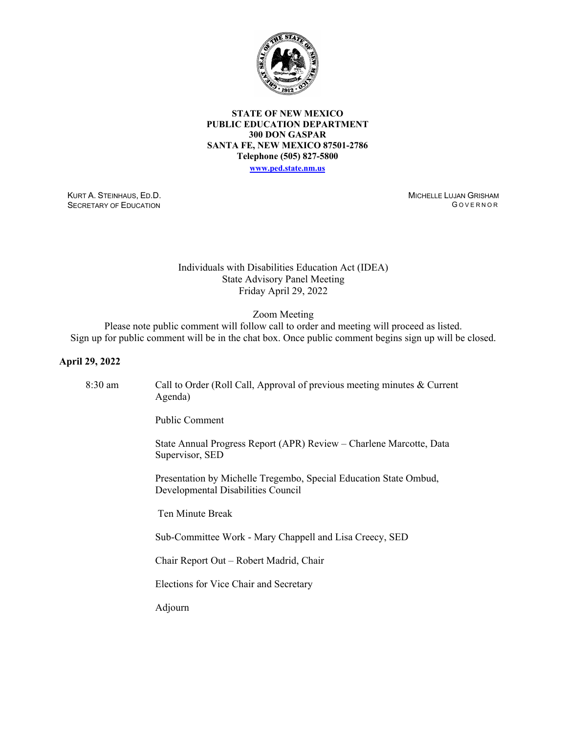

### **STATE OF NEW MEXICO PUBLIC EDUCATION DEPARTMENT 300 DON GASPAR SANTA FE, NEW MEXICO 87501-2786 Telephone (505) 827-5800**

**[www.ped.state.nm.us](http://webnew.ped.state.nm.us/)**

KURT A. STEINHAUS, ED.D. SECRETARY OF EDUCATION

MICHELLE LUJAN GRISHAM G OVERNOR

## Individuals with Disabilities Education Act (IDEA) State Advisory Panel Meeting Friday April 29, 2022

Zoom Meeting

Please note public comment will follow call to order and meeting will proceed as listed. Sign up for public comment will be in the chat box. Once public comment begins sign up will be closed.

### **April 29, 2022**

| $8:30$ am | Call to Order (Roll Call, Approval of previous meeting minutes & Current<br>Agenda)                     |
|-----------|---------------------------------------------------------------------------------------------------------|
|           | <b>Public Comment</b>                                                                                   |
|           | State Annual Progress Report (APR) Review – Charlene Marcotte, Data<br>Supervisor, SED                  |
|           | Presentation by Michelle Tregembo, Special Education State Ombud,<br>Developmental Disabilities Council |
|           | Ten Minute Break                                                                                        |
|           | Sub-Committee Work - Mary Chappell and Lisa Creecy, SED                                                 |
|           | Chair Report Out – Robert Madrid, Chair                                                                 |
|           | Elections for Vice Chair and Secretary                                                                  |
|           | Adjourn                                                                                                 |
|           |                                                                                                         |